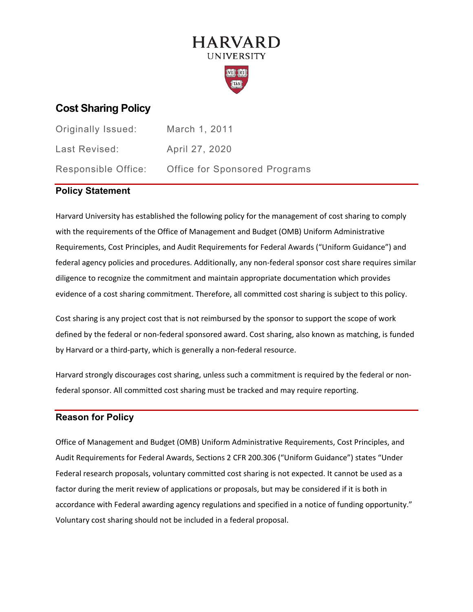# **HARVARD UNIVERSITY**



# **Cost Sharing Policy**

| Originally Issued:  | March 1, 2011                        |
|---------------------|--------------------------------------|
| Last Revised:       | April 27, 2020                       |
| Responsible Office: | <b>Office for Sponsored Programs</b> |

# **Policy Statement**

Harvard University has established the following policy for the management of cost sharing to comply with the requirements of the Office of Management and Budget (OMB) Uniform Administrative Requirements, Cost Principles, and Audit Requirements for Federal Awards ("Uniform Guidance") and federal agency policies and procedures. Additionally, any non-federal sponsor cost share requires similar diligence to recognize the commitment and maintain appropriate documentation which provides evidence of a cost sharing commitment. Therefore, all committed cost sharing is subject to this policy.

Cost sharing is any project cost that is not reimbursed by the sponsor to support the scope of work defined by the federal or non-federal sponsored award. Cost sharing, also known as matching, is funded by Harvard or a third-party, which is generally a non-federal resource.

Harvard strongly discourages cost sharing, unless such a commitment is required by the federal or nonfederal sponsor. All committed cost sharing must be tracked and may require reporting.

## **Reason for Policy**

Office of Management and Budget (OMB) Uniform Administrative Requirements, Cost Principles, and Audit Requirements for Federal Awards, Sections 2 CFR 200.306 ("Uniform Guidance") states "Under Federal research proposals, voluntary committed cost sharing is not expected. It cannot be used as a factor during the merit review of applications or proposals, but may be considered if it is both in accordance with Federal awarding agency regulations and specified in a notice of funding opportunity." Voluntary cost sharing should not be included in a federal proposal.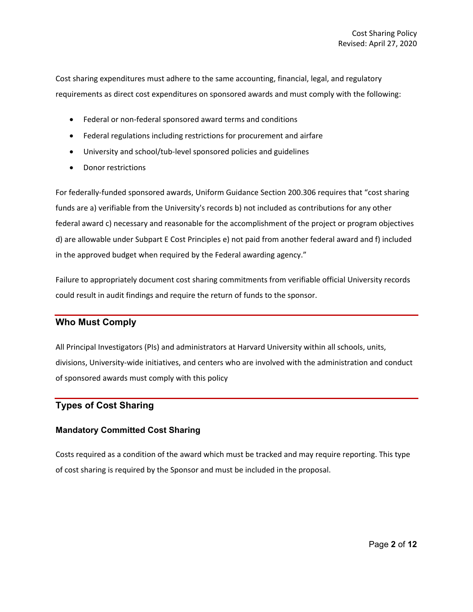Cost sharing expenditures must adhere to the same accounting, financial, legal, and regulatory requirements as direct cost expenditures on sponsored awards and must comply with the following:

- Federal or non-federal sponsored award terms and conditions
- Federal regulations including restrictions for procurement and airfare
- University and school/tub-level sponsored policies and guidelines
- Donor restrictions

For federally-funded sponsored awards, Uniform Guidance Section 200.306 requires that "cost sharing funds are a) verifiable from the University's records b) not included as contributions for any other federal award c) necessary and reasonable for the accomplishment of the project or program objectives d) are allowable under Subpart E Cost Principles e) not paid from another federal award and f) included in the approved budget when required by the Federal awarding agency."

Failure to appropriately document cost sharing commitments from verifiable official University records could result in audit findings and require the return of funds to the sponsor.

## **Who Must Comply**

All Principal Investigators (PIs) and administrators at Harvard University within all schools, units, divisions, University-wide initiatives, and centers who are involved with the administration and conduct of sponsored awards must comply with this policy

## **Types of Cost Sharing**

## **Mandatory Committed Cost Sharing**

Costs required as a condition of the award which must be tracked and may require reporting. This type of cost sharing is required by the Sponsor and must be included in the proposal.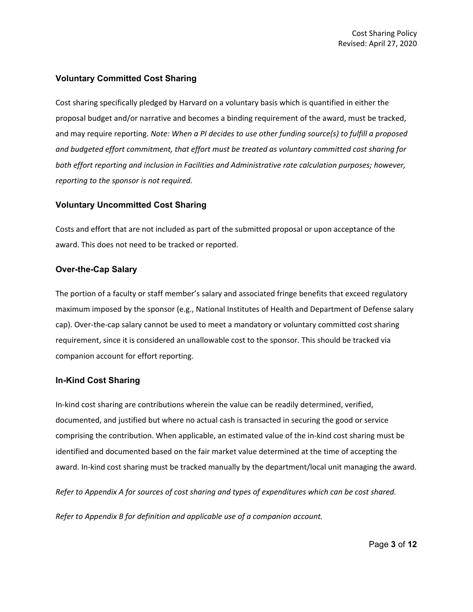#### **Voluntary Committed Cost Sharing**

Cost sharing specifically pledged by Harvard on a voluntary basis which is quantified in either the proposal budget and/or narrative and becomes a binding requirement of the award, must be tracked, and may require reporting. *Note: When a PI decides to use other funding source(s) to fulfill a proposed and budgeted effort commitment, that effort must be treated as voluntary committed cost sharing for both effort reporting and inclusion in Facilities and Administrative rate calculation purposes; however, reporting to the sponsor is not required.*

#### **Voluntary Uncommitted Cost Sharing**

Costs and effort that are not included as part of the submitted proposal or upon acceptance of the award. This does not need to be tracked or reported.

#### **Over-the-Cap Salary**

The portion of a faculty or staff member's salary and associated fringe benefits that exceed regulatory maximum imposed by the sponsor (e.g., National Institutes of Health and Department of Defense salary cap). Over-the-cap salary cannot be used to meet a mandatory or voluntary committed cost sharing requirement, since it is considered an unallowable cost to the sponsor. This should be tracked via companion account for effort reporting.

#### **In-Kind Cost Sharing**

In-kind cost sharing are contributions wherein the value can be readily determined, verified, documented, and justified but where no actual cash is transacted in securing the good or service comprising the contribution. When applicable, an estimated value of the in-kind cost sharing must be identified and documented based on the fair market value determined at the time of accepting the award. In-kind cost sharing must be tracked manually by the department/local unit managing the award.

*Refer to [Appendix A](#page-8-0) for sources of cost sharing and types of expenditures which can be cost shared.*

*Refer to [Appendix B](#page-11-0) for definition and applicable use of a companion account.*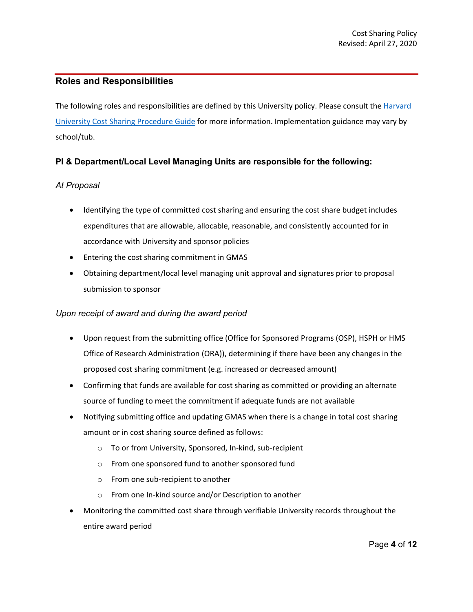## **Roles and Responsibilities**

The following roles and responsibilities are defined by this University policy. Please consult the Harvard [University Cost Sharing Procedure Guide](https://osp.finance.harvard.edu/files/office-for-sponsored-programs/files/cost_sharing_procedure_guide_april_2020.pdf) for more information. Implementation guidance may vary by school/tub.

## **PI & Department/Local Level Managing Units are responsible for the following:**

## *At Proposal*

- Identifying the type of committed cost sharing and ensuring the cost share budget includes expenditures that are allowable, allocable, reasonable, and consistently accounted for in accordance with University and sponsor policies
- Entering the cost sharing commitment in GMAS
- Obtaining department/local level managing unit approval and signatures prior to proposal submission to sponsor

## *Upon receipt of award and during the award period*

- Upon request from the submitting office (Office for Sponsored Programs (OSP), HSPH or HMS Office of Research Administration (ORA)), determining if there have been any changes in the proposed cost sharing commitment (e.g. increased or decreased amount)
- Confirming that funds are available for cost sharing as committed or providing an alternate source of funding to meet the commitment if adequate funds are not available
- Notifying submitting office and updating GMAS when there is a change in total cost sharing amount or in cost sharing source defined as follows:
	- o To or from University, Sponsored, In-kind, sub-recipient
	- o From one sponsored fund to another sponsored fund
	- o From one sub-recipient to another
	- o From one In-kind source and/or Description to another
- Monitoring the committed cost share through verifiable University records throughout the entire award period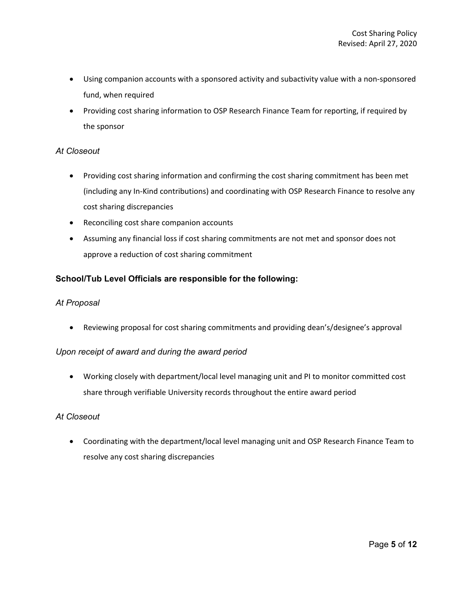- Using companion accounts with a sponsored activity and subactivity value with a non-sponsored fund, when required
- Providing cost sharing information to OSP Research Finance Team for reporting, if required by the sponsor

## *At Closeout*

- Providing cost sharing information and confirming the cost sharing commitment has been met (including any In-Kind contributions) and coordinating with OSP Research Finance to resolve any cost sharing discrepancies
- Reconciling cost share companion accounts
- Assuming any financial loss if cost sharing commitments are not met and sponsor does not approve a reduction of cost sharing commitment

## **School/Tub Level Officials are responsible for the following:**

#### *At Proposal*

• Reviewing proposal for cost sharing commitments and providing dean's/designee's approval

#### *Upon receipt of award and during the award period*

• Working closely with department/local level managing unit and PI to monitor committed cost share through verifiable University records throughout the entire award period

## *At Closeout*

• Coordinating with the department/local level managing unit and OSP Research Finance Team to resolve any cost sharing discrepancies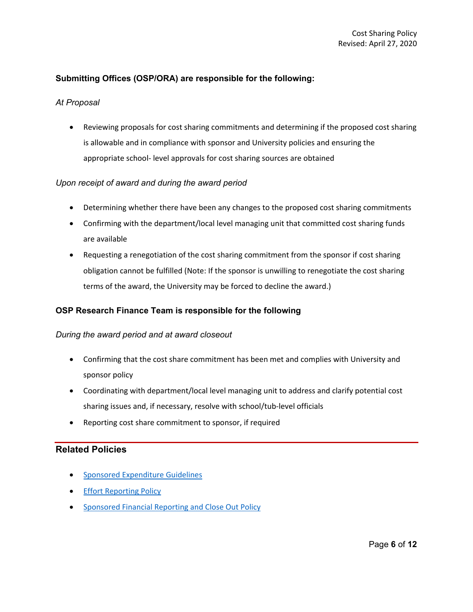## **Submitting Offices (OSP/ORA) are responsible for the following:**

#### *At Proposal*

• Reviewing proposals for cost sharing commitments and determining if the proposed cost sharing is allowable and in compliance with sponsor and University policies and ensuring the appropriate school- level approvals for cost sharing sources are obtained

#### *Upon receipt of award and during the award period*

- Determining whether there have been any changes to the proposed cost sharing commitments
- Confirming with the department/local level managing unit that committed cost sharing funds are available
- Requesting a renegotiation of the cost sharing commitment from the sponsor if cost sharing obligation cannot be fulfilled (Note: If the sponsor is unwilling to renegotiate the cost sharing terms of the award, the University may be forced to decline the award.)

## **OSP Research Finance Team is responsible for the following**

#### *During the award period and at award closeout*

- Confirming that the cost share commitment has been met and complies with University and sponsor policy
- Coordinating with department/local level managing unit to address and clarify potential cost sharing issues and, if necessary, resolve with school/tub-level officials
- Reporting cost share commitment to sponsor, if required

## **Related Policies**

- [Sponsored Expenditure Guidelines](https://osp.finance.harvard.edu/sponsored-expenditures-guidelines)
- **[Effort Reporting Policy](https://osp.finance.harvard.edu/effort-reporting-policy)**
- [Sponsored Financial Reporting and Close Out Policy](https://osp.finance.harvard.edu/sponsored-financial-reporting-and-closeout-policy)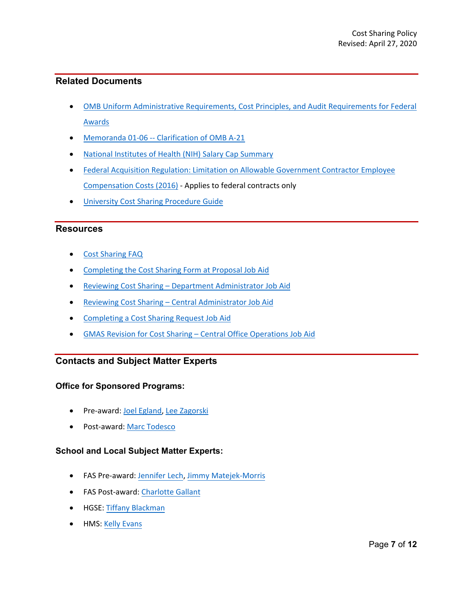## **Related Documents**

- [OMB Uniform Administrative Requirements, Cost Principles, and Audit Requirements for Federal](https://www.ecfr.gov/cgi-bin/text-idx?SID=3043b5614db348800aaabf75e7024dbf&mc=true&node=pt2.1.200&rgn=div5) [Awards](https://www.ecfr.gov/cgi-bin/text-idx?SID=3043b5614db348800aaabf75e7024dbf&mc=true&node=pt2.1.200&rgn=div5)
- [Memoranda 01-06 -- Clarification of OMB A-21](https://obamawhitehouse.archives.gov/omb/memoranda_m01-06/)
- [National Institutes of Health \(NIH\) Salary Cap Summary](https://grants.nih.gov/grants/policy/salcap_summary.htm)
- [Federal Acquisition Regulation: Limitation on Allowable Government Contractor Employee](https://www.federalregister.gov/documents/2016/09/30/2016-23204/federal-acquisition-regulation-limitation-on-allowable-government-contractor-employee-compensation) [Compensation Costs \(2016\)](https://www.federalregister.gov/documents/2016/09/30/2016-23204/federal-acquisition-regulation-limitation-on-allowable-government-contractor-employee-compensation) - Applies to federal contracts only
- [University Cost Sharing Procedure Guide](https://osp.finance.harvard.edu/files/office-for-sponsored-programs/files/cost_sharing_procedure_guide_april_2020.pdf)

## **Resources**

- [Cost Sharing FAQ](https://osp.finance.harvard.edu/files/office-for-sponsored-programs/files/cost_sharing_faqs_april_2020.pdf)
- [Completing the Cost Sharing Form at Proposal Job Aid](https://gmas.fss.harvard.edu/completing-cost-sharing-form-proposal)
- [Reviewing Cost Sharing Department Administrator Job Aid](https://gmas.fss.harvard.edu/reviewing-cost-sharing-department-administrator)
- [Reviewing Cost Sharing Central Administrator Job Aid](https://gmas.fss.harvard.edu/reviewing-cost-sharing-central-administrator)
- [Completing a Cost Sharing Request Job Aid](https://gmas.fss.harvard.edu/completing-cost-sharing-request)
- [GMAS Revision for Cost Sharing Central Office Operations Job Aid](https://gmas.fss.harvard.edu/cost-sharing-central-office-operations)

## **Contacts and Subject Matter Experts**

## **Office for Sponsored Programs:**

- Pre-award: [Joel Egland,](mailto:joel_egland@harvard.edu) [Lee Zagorski](mailto:lee_zagorski@harvard.edu)
- Post-award: [Marc Todesco](mailto:marc_todesco@harvard.edu)

## **School and Local Subject Matter Experts:**

- FAS Pre-award: [Jennifer Lech,](mailto:jennifer_lech@harvard.edu) [Jimmy Matejek-Morris](mailto:jmatejek@fas.harvard.edu)
- FAS Post-award: [Charlotte Gallant](mailto:cgallant@fas.harvard.edu)
- HGSE: [Tiffany Blackman](mailto:tiffany_blackman@harvard.edu)
- HMS[: Kelly Evans](mailto:kelly_evans@hms.harvard.edu)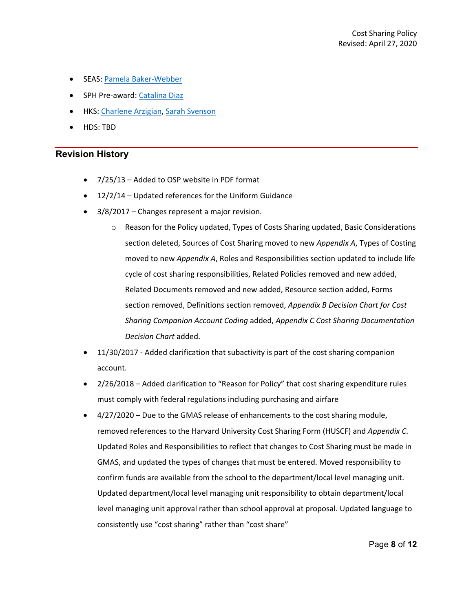- SEAS: [Pamela Baker-Webber](mailto:bakerwebber@fas.harvard.edu)
- SPH Pre-award: [Catalina Diaz](mailto:cdiaz@hsph.harvard.edu)
- HKS: [Charlene Arzigian,](mailto:charlene_arzigian@hks.harvard.edu) [Sarah Svenson](mailto:sarah_svenson@hks.harvard.edu)
- HDS: TBD

#### **Revision History**

- 7/25/13 Added to OSP website in PDF format
- 12/2/14 Updated references for the Uniform Guidance
- 3/8/2017 Changes represent a major revision.
	- o Reason for the Policy updated, Types of Costs Sharing updated, Basic Considerations section deleted, Sources of Cost Sharing moved to new *Appendix A*, Types of Costing moved to new *Appendix A*, Roles and Responsibilities section updated to include life cycle of cost sharing responsibilities, Related Policies removed and new added, Related Documents removed and new added, Resource section added, Forms section removed, Definitions section removed, *Appendix B Decision Chart for Cost Sharing Companion Account Coding* added, *Appendix C Cost Sharing Documentation Decision Chart* added.
- 11/30/2017 Added clarification that subactivity is part of the cost sharing companion account.
- 2/26/2018 Added clarification to "Reason for Policy" that cost sharing expenditure rules must comply with federal regulations including purchasing and airfare
- 4/27/2020 Due to the GMAS release of enhancements to the cost sharing module, removed references to the Harvard University Cost Sharing Form (HUSCF) and *Appendix C*. Updated Roles and Responsibilities to reflect that changes to Cost Sharing must be made in GMAS, and updated the types of changes that must be entered. Moved responsibility to confirm funds are available from the school to the department/local level managing unit. Updated department/local level managing unit responsibility to obtain department/local level managing unit approval rather than school approval at proposal. Updated language to consistently use "cost sharing" rather than "cost share"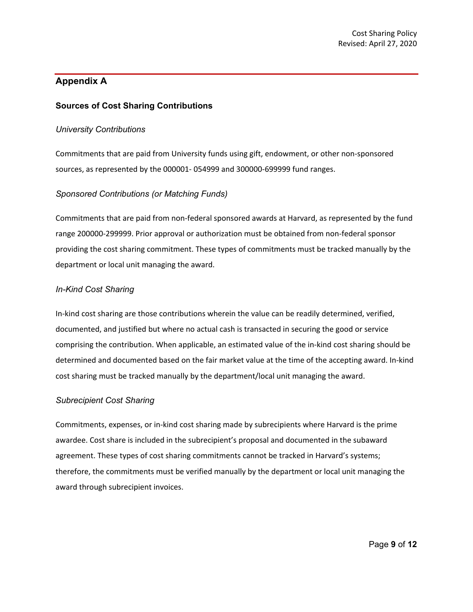# <span id="page-8-0"></span>**Appendix A**

## **Sources of Cost Sharing Contributions**

#### *University Contributions*

Commitments that are paid from University funds using gift, endowment, or other non-sponsored sources, as represented by the 000001- 054999 and 300000-699999 fund ranges.

#### *Sponsored Contributions (or Matching Funds)*

Commitments that are paid from non-federal sponsored awards at Harvard, as represented by the fund range 200000-299999. Prior approval or authorization must be obtained from non-federal sponsor providing the cost sharing commitment. These types of commitments must be tracked manually by the department or local unit managing the award.

## *In-Kind Cost Sharing*

In-kind cost sharing are those contributions wherein the value can be readily determined, verified, documented, and justified but where no actual cash is transacted in securing the good or service comprising the contribution. When applicable, an estimated value of the in-kind cost sharing should be determined and documented based on the fair market value at the time of the accepting award. In-kind cost sharing must be tracked manually by the department/local unit managing the award.

#### *Subrecipient Cost Sharing*

Commitments, expenses, or in-kind cost sharing made by subrecipients where Harvard is the prime awardee. Cost share is included in the subrecipient's proposal and documented in the subaward agreement. These types of cost sharing commitments cannot be tracked in Harvard's systems; therefore, the commitments must be verified manually by the department or local unit managing the award through subrecipient invoices.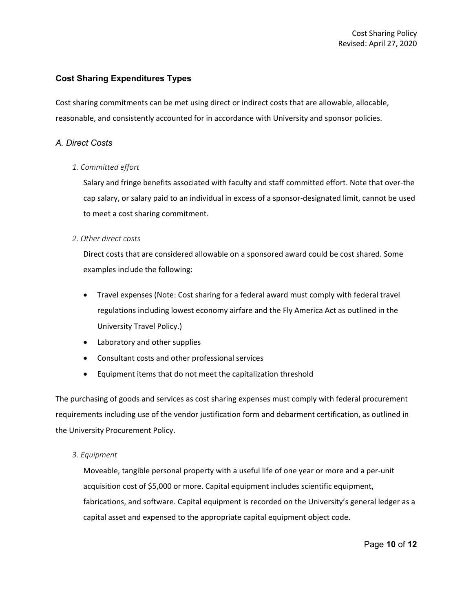## **Cost Sharing Expenditures Types**

Cost sharing commitments can be met using direct or indirect costs that are allowable, allocable, reasonable, and consistently accounted for in accordance with University and sponsor policies.

## *A. Direct Costs*

#### *1. Committed effort*

Salary and fringe benefits associated with faculty and staff committed effort. Note that over-the cap salary, or salary paid to an individual in excess of a sponsor-designated limit, cannot be used to meet a cost sharing commitment.

#### *2. Other direct costs*

Direct costs that are considered allowable on a sponsored award could be cost shared. Some examples include the following:

- Travel expenses (Note: Cost sharing for a federal award must comply with federal travel regulations including lowest economy airfare and the Fly America Act as outlined in the University Travel Policy.)
- Laboratory and other supplies
- Consultant costs and other professional services
- Equipment items that do not meet the capitalization threshold

The purchasing of goods and services as cost sharing expenses must comply with federal procurement requirements including use of the vendor justification form and debarment certification, as outlined in the University Procurement Policy.

#### *3. Equipment*

Moveable, tangible personal property with a useful life of one year or more and a per-unit acquisition cost of \$5,000 or more. Capital equipment includes scientific equipment, fabrications, and software. Capital equipment is recorded on the University's general ledger as a capital asset and expensed to the appropriate capital equipment object code.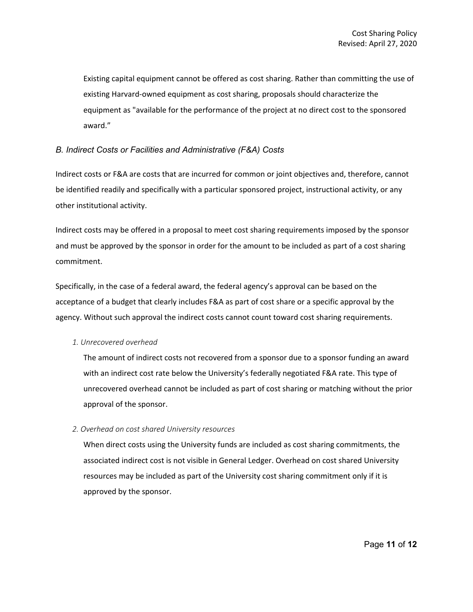Existing capital equipment cannot be offered as cost sharing. Rather than committing the use of existing Harvard-owned equipment as cost sharing, proposals should characterize the equipment as "available for the performance of the project at no direct cost to the sponsored award."

#### *B. Indirect Costs or Facilities and Administrative (F&A) Costs*

Indirect costs or F&A are costs that are incurred for common or joint objectives and, therefore, cannot be identified readily and specifically with a particular sponsored project, instructional activity, or any other institutional activity.

Indirect costs may be offered in a proposal to meet cost sharing requirements imposed by the sponsor and must be approved by the sponsor in order for the amount to be included as part of a cost sharing commitment.

Specifically, in the case of a federal award, the federal agency's approval can be based on the acceptance of a budget that clearly includes F&A as part of cost share or a specific approval by the agency. Without such approval the indirect costs cannot count toward cost sharing requirements.

#### *1. Unrecovered overhead*

The amount of indirect costs not recovered from a sponsor due to a sponsor funding an award with an indirect cost rate below the University's federally negotiated F&A rate. This type of unrecovered overhead cannot be included as part of cost sharing or matching without the prior approval of the sponsor.

#### *2. Overhead on cost shared University resources*

When direct costs using the University funds are included as cost sharing commitments, the associated indirect cost is not visible in General Ledger. Overhead on cost shared University resources may be included as part of the University cost sharing commitment only if it is approved by the sponsor.